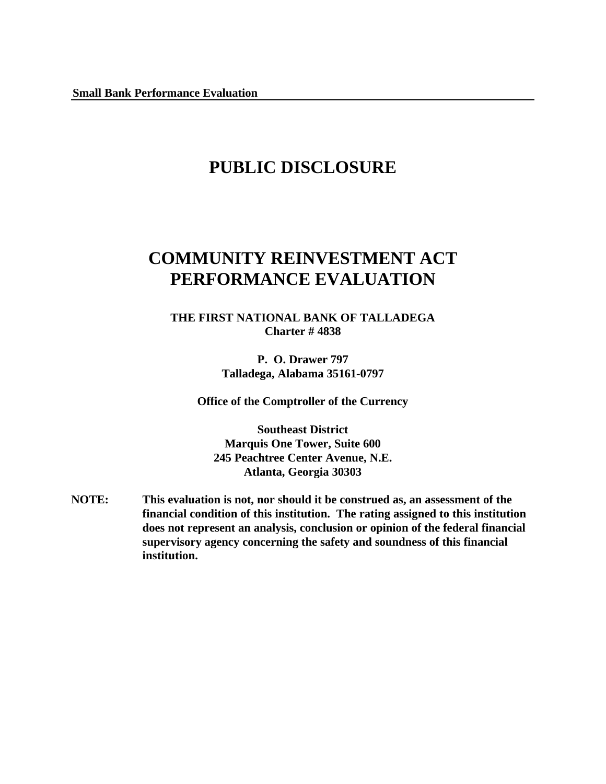# **PUBLIC DISCLOSURE**

# **COMMUNITY REINVESTMENT ACT PERFORMANCE EVALUATION**

**THE FIRST NATIONAL BANK OF TALLADEGA Charter # 4838**

> **P. O. Drawer 797 Talladega, Alabama 35161-0797**

**Office of the Comptroller of the Currency**

**Southeast District Marquis One Tower, Suite 600 245 Peachtree Center Avenue, N.E. Atlanta, Georgia 30303**

**NOTE: This evaluation is not, nor should it be construed as, an assessment of the financial condition of this institution. The rating assigned to this institution does not represent an analysis, conclusion or opinion of the federal financial supervisory agency concerning the safety and soundness of this financial institution.**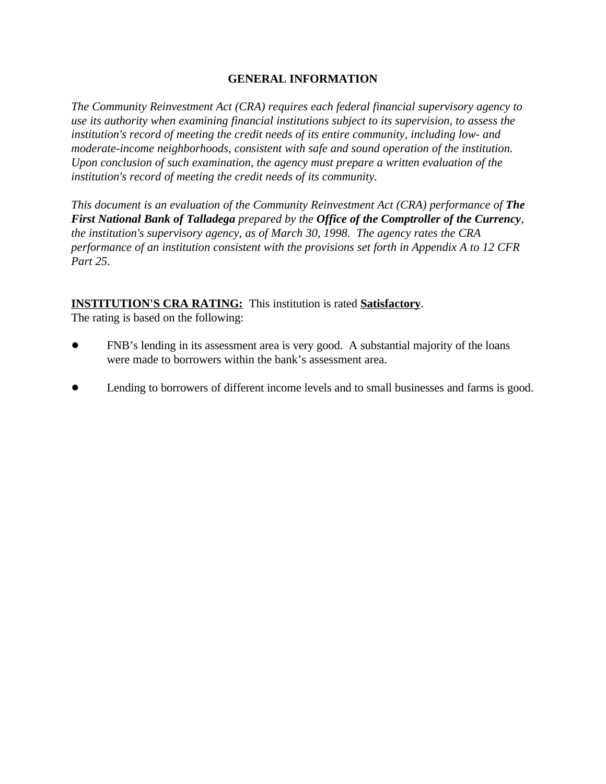#### **GENERAL INFORMATION**

*The Community Reinvestment Act (CRA) requires each federal financial supervisory agency to use its authority when examining financial institutions subject to its supervision, to assess the institution's record of meeting the credit needs of its entire community, including low- and moderate-income neighborhoods, consistent with safe and sound operation of the institution. Upon conclusion of such examination, the agency must prepare a written evaluation of the institution's record of meeting the credit needs of its community.* 

*This document is an evaluation of the Community Reinvestment Act (CRA) performance of The First National Bank of Talladega prepared by the Office of the Comptroller of the Currency, the institution's supervisory agency, as of March 30, 1998. The agency rates the CRA performance of an institution consistent with the provisions set forth in Appendix A to 12 CFR Part 25.*

#### **INSTITUTION'S CRA RATING:** This institution is rated **Satisfactory**.

The rating is based on the following:

- ! FNB's lending in its assessment area is very good. A substantial majority of the loans were made to borrowers within the bank's assessment area.
- Lending to borrowers of different income levels and to small businesses and farms is good.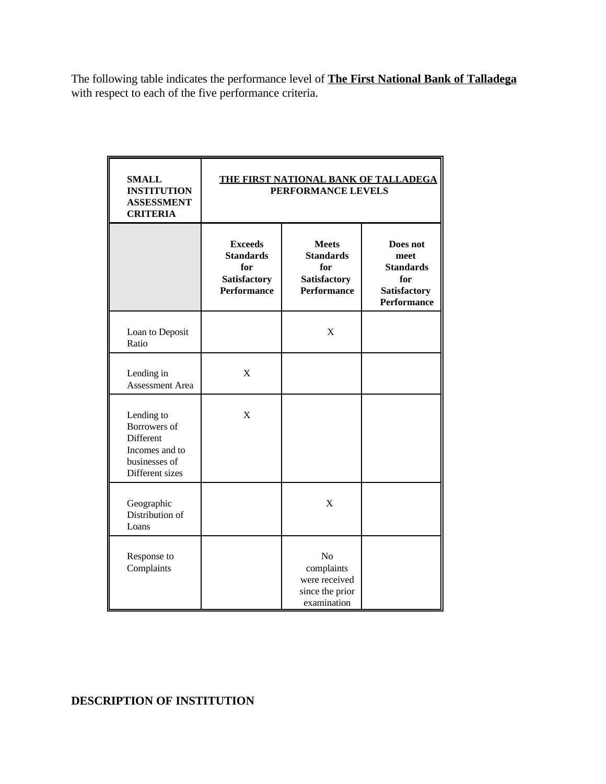The following table indicates the performance level of **The First National Bank of Talladega** with respect to each of the five performance criteria.

| <b>SMALL</b><br><b>INSTITUTION</b><br><b>ASSESSMENT</b><br><b>CRITERIA</b>                    | THE FIRST NATIONAL BANK OF TALLADEGA<br>PERFORMANCE LEVELS                      |                                                                                      |                                                                                   |
|-----------------------------------------------------------------------------------------------|---------------------------------------------------------------------------------|--------------------------------------------------------------------------------------|-----------------------------------------------------------------------------------|
|                                                                                               | <b>Exceeds</b><br><b>Standards</b><br>for<br>Satisfactory<br><b>Performance</b> | <b>Meets</b><br><b>Standards</b><br>for<br><b>Satisfactory</b><br><b>Performance</b> | Does not<br>meet<br><b>Standards</b><br>for<br><b>Satisfactory</b><br>Performance |
| Loan to Deposit<br>Ratio                                                                      |                                                                                 | X                                                                                    |                                                                                   |
| Lending in<br><b>Assessment Area</b>                                                          | X                                                                               |                                                                                      |                                                                                   |
| Lending to<br>Borrowers of<br>Different<br>Incomes and to<br>businesses of<br>Different sizes | X                                                                               |                                                                                      |                                                                                   |
| Geographic<br>Distribution of<br>Loans                                                        |                                                                                 | $\mathbf{X}$                                                                         |                                                                                   |
| Response to<br>Complaints                                                                     |                                                                                 | N <sub>0</sub><br>complaints<br>were received<br>since the prior<br>examination      |                                                                                   |

## **DESCRIPTION OF INSTITUTION**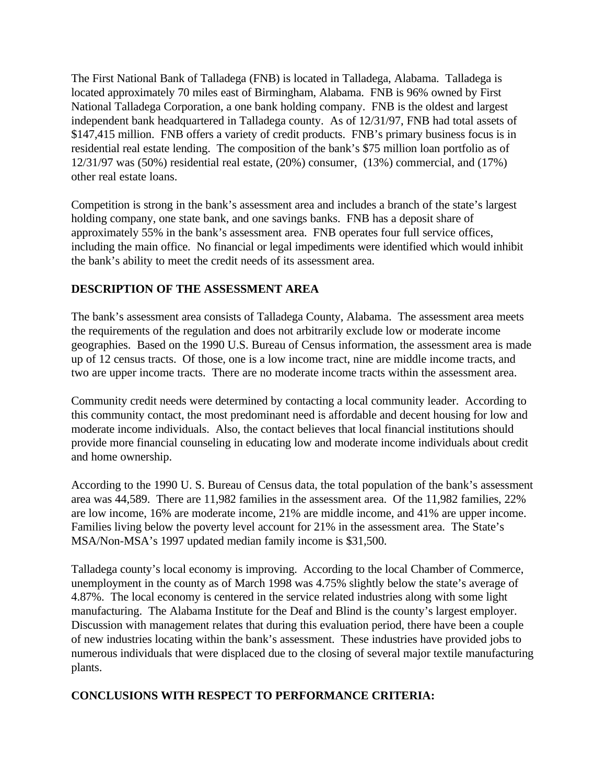The First National Bank of Talladega (FNB) is located in Talladega, Alabama. Talladega is located approximately 70 miles east of Birmingham, Alabama. FNB is 96% owned by First National Talladega Corporation, a one bank holding company. FNB is the oldest and largest independent bank headquartered in Talladega county. As of 12/31/97, FNB had total assets of \$147,415 million. FNB offers a variety of credit products. FNB's primary business focus is in residential real estate lending. The composition of the bank's \$75 million loan portfolio as of 12/31/97 was (50%) residential real estate, (20%) consumer, (13%) commercial, and (17%) other real estate loans.

Competition is strong in the bank's assessment area and includes a branch of the state's largest holding company, one state bank, and one savings banks. FNB has a deposit share of approximately 55% in the bank's assessment area. FNB operates four full service offices, including the main office. No financial or legal impediments were identified which would inhibit the bank's ability to meet the credit needs of its assessment area.

### **DESCRIPTION OF THE ASSESSMENT AREA**

The bank's assessment area consists of Talladega County, Alabama. The assessment area meets the requirements of the regulation and does not arbitrarily exclude low or moderate income geographies. Based on the 1990 U.S. Bureau of Census information, the assessment area is made up of 12 census tracts. Of those, one is a low income tract, nine are middle income tracts, and two are upper income tracts. There are no moderate income tracts within the assessment area.

Community credit needs were determined by contacting a local community leader. According to this community contact, the most predominant need is affordable and decent housing for low and moderate income individuals. Also, the contact believes that local financial institutions should provide more financial counseling in educating low and moderate income individuals about credit and home ownership.

According to the 1990 U. S. Bureau of Census data, the total population of the bank's assessment area was 44,589. There are 11,982 families in the assessment area. Of the 11,982 families, 22% are low income, 16% are moderate income, 21% are middle income, and 41% are upper income. Families living below the poverty level account for 21% in the assessment area. The State's MSA/Non-MSA's 1997 updated median family income is \$31,500.

Talladega county's local economy is improving. According to the local Chamber of Commerce, unemployment in the county as of March 1998 was 4.75% slightly below the state's average of 4.87%. The local economy is centered in the service related industries along with some light manufacturing. The Alabama Institute for the Deaf and Blind is the county's largest employer. Discussion with management relates that during this evaluation period, there have been a couple of new industries locating within the bank's assessment. These industries have provided jobs to numerous individuals that were displaced due to the closing of several major textile manufacturing plants.

#### **CONCLUSIONS WITH RESPECT TO PERFORMANCE CRITERIA:**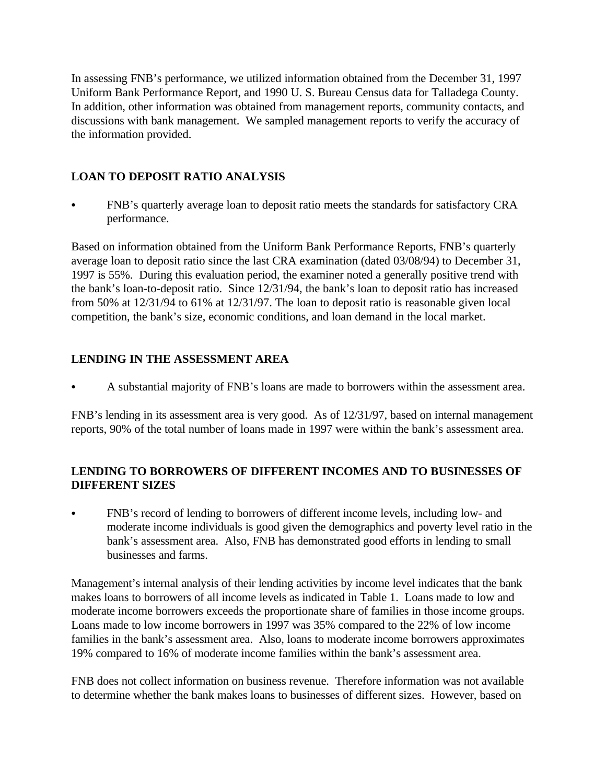In assessing FNB's performance, we utilized information obtained from the December 31, 1997 Uniform Bank Performance Report, and 1990 U. S. Bureau Census data for Talladega County. In addition, other information was obtained from management reports, community contacts, and discussions with bank management. We sampled management reports to verify the accuracy of the information provided.

## **LOAN TO DEPOSIT RATIO ANALYSIS**

FNB's quarterly average loan to deposit ratio meets the standards for satisfactory CRA performance.

Based on information obtained from the Uniform Bank Performance Reports, FNB's quarterly average loan to deposit ratio since the last CRA examination (dated 03/08/94) to December 31, 1997 is 55%. During this evaluation period, the examiner noted a generally positive trend with the bank's loan-to-deposit ratio. Since 12/31/94, the bank's loan to deposit ratio has increased from 50% at 12/31/94 to 61% at 12/31/97. The loan to deposit ratio is reasonable given local competition, the bank's size, economic conditions, and loan demand in the local market.

## **LENDING IN THE ASSESSMENT AREA**

A substantial majority of FNB's loans are made to borrowers within the assessment area.

FNB's lending in its assessment area is very good. As of 12/31/97, based on internal management reports, 90% of the total number of loans made in 1997 were within the bank's assessment area.

### **LENDING TO BORROWERS OF DIFFERENT INCOMES AND TO BUSINESSES OF DIFFERENT SIZES**

FNB's record of lending to borrowers of different income levels, including low- and moderate income individuals is good given the demographics and poverty level ratio in the bank's assessment area. Also, FNB has demonstrated good efforts in lending to small businesses and farms.

Management's internal analysis of their lending activities by income level indicates that the bank makes loans to borrowers of all income levels as indicated in Table 1. Loans made to low and moderate income borrowers exceeds the proportionate share of families in those income groups. Loans made to low income borrowers in 1997 was 35% compared to the 22% of low income families in the bank's assessment area. Also, loans to moderate income borrowers approximates 19% compared to 16% of moderate income families within the bank's assessment area.

FNB does not collect information on business revenue. Therefore information was not available to determine whether the bank makes loans to businesses of different sizes. However, based on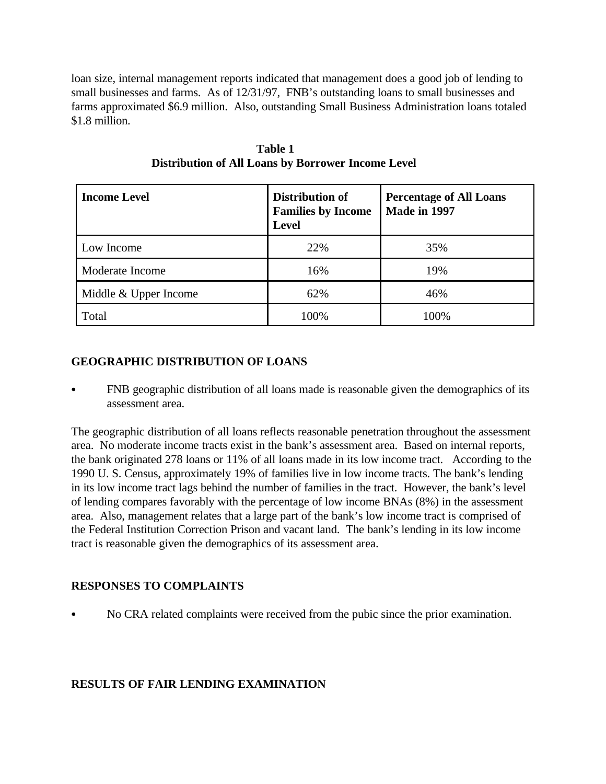loan size, internal management reports indicated that management does a good job of lending to small businesses and farms. As of 12/31/97, FNB's outstanding loans to small businesses and farms approximated \$6.9 million. Also, outstanding Small Business Administration loans totaled \$1.8 million.

| <b>Income Level</b>   | Distribution of<br><b>Families by Income</b><br><b>Level</b> | <b>Percentage of All Loans</b><br>Made in 1997 |
|-----------------------|--------------------------------------------------------------|------------------------------------------------|
| Low Income            | 22%                                                          | 35%                                            |
| Moderate Income       | 16%                                                          | 19%                                            |
| Middle & Upper Income | 62%                                                          | 46%                                            |
| Total                 | 100%                                                         | 100%                                           |

 **Table 1 Distribution of All Loans by Borrower Income Level**

### **GEOGRAPHIC DISTRIBUTION OF LOANS**

FNB geographic distribution of all loans made is reasonable given the demographics of its assessment area.

The geographic distribution of all loans reflects reasonable penetration throughout the assessment area. No moderate income tracts exist in the bank's assessment area. Based on internal reports, the bank originated 278 loans or 11% of all loans made in its low income tract. According to the 1990 U. S. Census, approximately 19% of families live in low income tracts. The bank's lending in its low income tract lags behind the number of families in the tract. However, the bank's level of lending compares favorably with the percentage of low income BNAs (8%) in the assessment area. Also, management relates that a large part of the bank's low income tract is comprised of the Federal Institution Correction Prison and vacant land. The bank's lending in its low income tract is reasonable given the demographics of its assessment area.

#### **RESPONSES TO COMPLAINTS**

No CRA related complaints were received from the pubic since the prior examination.

## **RESULTS OF FAIR LENDING EXAMINATION**